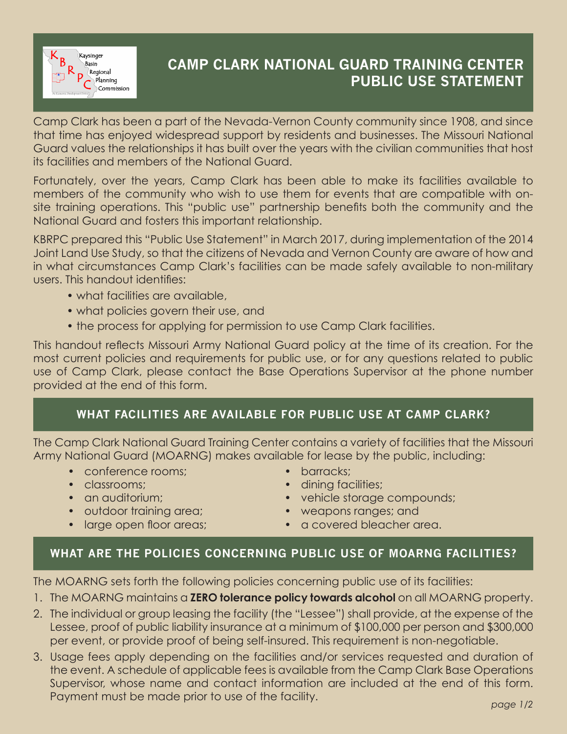

## **CAMP CLARK NATIONAL GUARD TRAINING CENTER PUBLIC USE STATEMENT**

Camp Clark has been a part of the Nevada-Vernon County community since 1908, and since that time has enjoyed widespread support by residents and businesses. The Missouri National Guard values the relationships it has built over the years with the civilian communities that host its facilities and members of the National Guard.

Fortunately, over the years, Camp Clark has been able to make its facilities available to members of the community who wish to use them for events that are compatible with onsite training operations. This "public use" partnership benefits both the community and the National Guard and fosters this important relationship.

KBRPC prepared this "Public Use Statement" in March 2017, during implementation of the 2014 Joint Land Use Study, so that the citizens of Nevada and Vernon County are aware of how and in what circumstances Camp Clark's facilities can be made safely available to non-military users. This handout identifies:

- what facilities are available,
- what policies govern their use, and
- the process for applying for permission to use Camp Clark facilities.

This handout reflects Missouri Army National Guard policy at the time of its creation. For the most current policies and requirements for public use, or for any questions related to public use of Camp Clark, please contact the Base Operations Supervisor at the phone number provided at the end of this form.

## **WHAT FACILITIES ARE AVAILABLE FOR PUBLIC USE AT CAMP CLARK?**

The Camp Clark National Guard Training Center contains a variety of facilities that the Missouri Army National Guard (MOARNG) makes available for lease by the public, including:

- conference rooms;
- classrooms;
- an auditorium:
- outdoor training area;
- large open floor areas;
- barracks;
- dining facilities;
- vehicle storage compounds;
- weapons ranges; and
- a covered bleacher area.

## **WHAT ARE THE POLICIES CONCERNING PUBLIC USE OF MOARNG FACILITIES?**

The MOARNG sets forth the following policies concerning public use of its facilities:

- 1. The MOARNG maintains a **ZERO tolerance policy towards alcohol** on all MOARNG property.
- 2. The individual or group leasing the facility (the "Lessee") shall provide, at the expense of the Lessee, proof of public liability insurance at a minimum of \$100,000 per person and \$300,000 per event, or provide proof of being self-insured. This requirement is non-negotiable.
- 3. Usage fees apply depending on the facilities and/or services requested and duration of the event. A schedule of applicable fees is available from the Camp Clark Base Operations Supervisor, whose name and contact information are included at the end of this form. Payment must be made prior to use of the facility. *page 1/2*